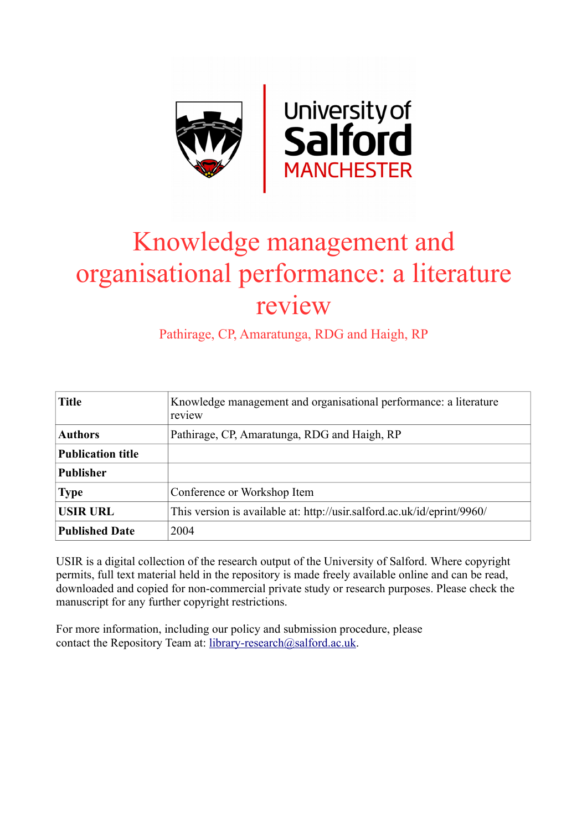

# Knowledge management and organisational performance: a literature review

Pathirage, CP, Amaratunga, RDG and Haigh, RP

| <b>Title</b>             | Knowledge management and organisational performance: a literature<br>review |  |
|--------------------------|-----------------------------------------------------------------------------|--|
| <b>Authors</b>           | Pathirage, CP, Amaratunga, RDG and Haigh, RP                                |  |
| <b>Publication title</b> |                                                                             |  |
| <b>Publisher</b>         |                                                                             |  |
| <b>Type</b>              | Conference or Workshop Item                                                 |  |
| <b>USIR URL</b>          | This version is available at: http://usir.salford.ac.uk/id/eprint/9960/     |  |
| <b>Published Date</b>    | 2004                                                                        |  |

USIR is a digital collection of the research output of the University of Salford. Where copyright permits, full text material held in the repository is made freely available online and can be read, downloaded and copied for non-commercial private study or research purposes. Please check the manuscript for any further copyright restrictions.

For more information, including our policy and submission procedure, please contact the Repository Team at: [library-research@salford.ac.uk.](mailto:library-research@salford.ac.uk)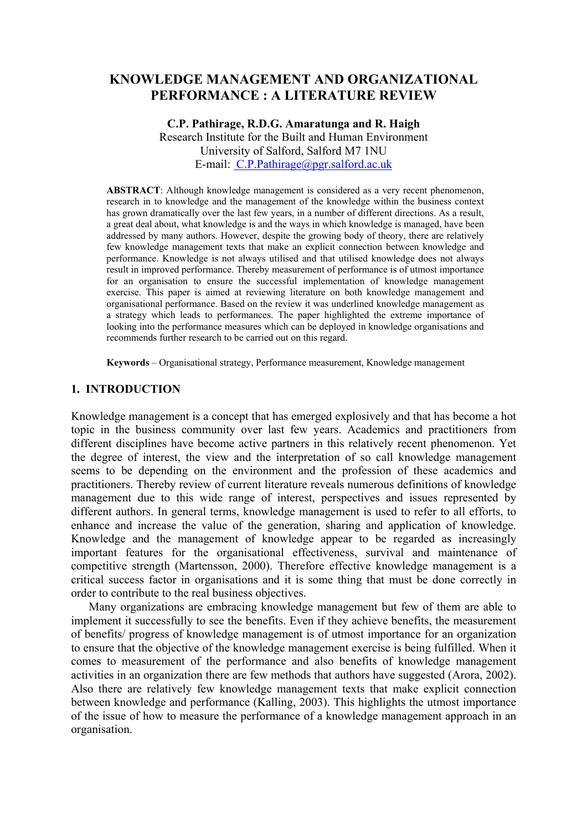# **KNOWLEDGE MANAGEMENT AND ORGANIZATIONAL PERFORMANCE : A LITERATURE REVIEW**

# **C.P. Pathirage, R.D.G. Amaratunga and R. Haigh**  Research Institute for the Built and Human Environment University of Salford, Salford M7 1NU E-mail: [C.P.Pathirage@pgr.salford.ac.uk](mailto: C.P.Pathirage@pgr.salford.ac.uk)

**ABSTRACT**: Although knowledge management is considered as a very recent phenomenon, research in to knowledge and the management of the knowledge within the business context has grown dramatically over the last few years, in a number of different directions. As a result, a great deal about, what knowledge is and the ways in which knowledge is managed, have been addressed by many authors. However, despite the growing body of theory, there are relatively few knowledge management texts that make an explicit connection between knowledge and performance. Knowledge is not always utilised and that utilised knowledge does not always result in improved performance. Thereby measurement of performance is of utmost importance for an organisation to ensure the successful implementation of knowledge management exercise. This paper is aimed at reviewing literature on both knowledge management and organisational performance. Based on the review it was underlined knowledge management as a strategy which leads to performances. The paper highlighted the extreme importance of looking into the performance measures which can be deployed in knowledge organisations and recommends further research to be carried out on this regard.

**Keywords** – Organisational strategy, Performance measurement, Knowledge management

#### **1. INTRODUCTION**

Knowledge management is a concept that has emerged explosively and that has become a hot topic in the business community over last few years. Academics and practitioners from different disciplines have become active partners in this relatively recent phenomenon. Yet the degree of interest, the view and the interpretation of so call knowledge management seems to be depending on the environment and the profession of these academics and practitioners. Thereby review of current literature reveals numerous definitions of knowledge management due to this wide range of interest, perspectives and issues represented by different authors. In general terms, knowledge management is used to refer to all efforts, to enhance and increase the value of the generation, sharing and application of knowledge. Knowledge and the management of knowledge appear to be regarded as increasingly important features for the organisational effectiveness, survival and maintenance of competitive strength (Martensson, 2000). Therefore effective knowledge management is a critical success factor in organisations and it is some thing that must be done correctly in order to contribute to the real business objectives.

Many organizations are embracing knowledge management but few of them are able to implement it successfully to see the benefits. Even if they achieve benefits, the measurement of benefits/ progress of knowledge management is of utmost importance for an organization to ensure that the objective of the knowledge management exercise is being fulfilled. When it comes to measurement of the performance and also benefits of knowledge management activities in an organization there are few methods that authors have suggested (Arora, 2002). Also there are relatively few knowledge management texts that make explicit connection between knowledge and performance (Kalling, 2003). This highlights the utmost importance of the issue of how to measure the performance of a knowledge management approach in an organisation.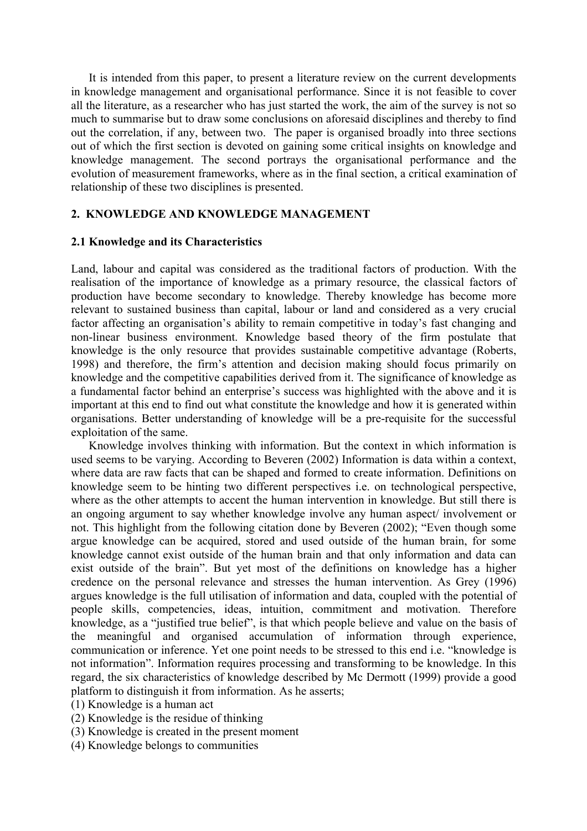It is intended from this paper, to present a literature review on the current developments in knowledge management and organisational performance. Since it is not feasible to cover all the literature, as a researcher who has just started the work, the aim of the survey is not so much to summarise but to draw some conclusions on aforesaid disciplines and thereby to find out the correlation, if any, between two. The paper is organised broadly into three sections out of which the first section is devoted on gaining some critical insights on knowledge and knowledge management. The second portrays the organisational performance and the evolution of measurement frameworks, where as in the final section, a critical examination of relationship of these two disciplines is presented.

#### **2. KNOWLEDGE AND KNOWLEDGE MANAGEMENT**

#### **2.1 Knowledge and its Characteristics**

Land, labour and capital was considered as the traditional factors of production. With the realisation of the importance of knowledge as a primary resource, the classical factors of production have become secondary to knowledge. Thereby knowledge has become more relevant to sustained business than capital, labour or land and considered as a very crucial factor affecting an organisation's ability to remain competitive in today's fast changing and non-linear business environment. Knowledge based theory of the firm postulate that knowledge is the only resource that provides sustainable competitive advantage (Roberts, 1998) and therefore, the firm's attention and decision making should focus primarily on knowledge and the competitive capabilities derived from it. The significance of knowledge as a fundamental factor behind an enterprise's success was highlighted with the above and it is important at this end to find out what constitute the knowledge and how it is generated within organisations. Better understanding of knowledge will be a pre-requisite for the successful exploitation of the same.

Knowledge involves thinking with information. But the context in which information is used seems to be varying. According to Beveren (2002) Information is data within a context, where data are raw facts that can be shaped and formed to create information. Definitions on knowledge seem to be hinting two different perspectives i.e. on technological perspective, where as the other attempts to accent the human intervention in knowledge. But still there is an ongoing argument to say whether knowledge involve any human aspect/ involvement or not. This highlight from the following citation done by Beveren (2002); "Even though some argue knowledge can be acquired, stored and used outside of the human brain, for some knowledge cannot exist outside of the human brain and that only information and data can exist outside of the brain". But yet most of the definitions on knowledge has a higher credence on the personal relevance and stresses the human intervention. As Grey (1996) argues knowledge is the full utilisation of information and data, coupled with the potential of people skills, competencies, ideas, intuition, commitment and motivation. Therefore knowledge, as a "justified true belief", is that which people believe and value on the basis of the meaningful and organised accumulation of information through experience, communication or inference. Yet one point needs to be stressed to this end i.e. "knowledge is not information". Information requires processing and transforming to be knowledge. In this regard, the six characteristics of knowledge described by Mc Dermott (1999) provide a good platform to distinguish it from information. As he asserts;

- (1) Knowledge is a human act
- (2) Knowledge is the residue of thinking
- (3) Knowledge is created in the present moment
- (4) Knowledge belongs to communities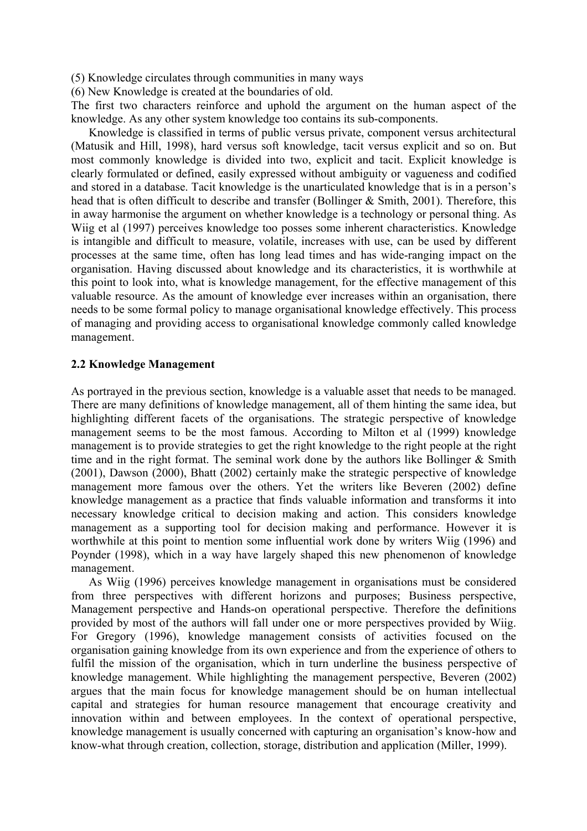(5) Knowledge circulates through communities in many ways

(6) New Knowledge is created at the boundaries of old.

The first two characters reinforce and uphold the argument on the human aspect of the knowledge. As any other system knowledge too contains its sub-components.

Knowledge is classified in terms of public versus private, component versus architectural (Matusik and Hill, 1998), hard versus soft knowledge, tacit versus explicit and so on. But most commonly knowledge is divided into two, explicit and tacit. Explicit knowledge is clearly formulated or defined, easily expressed without ambiguity or vagueness and codified and stored in a database. Tacit knowledge is the unarticulated knowledge that is in a person's head that is often difficult to describe and transfer (Bollinger & Smith, 2001). Therefore, this in away harmonise the argument on whether knowledge is a technology or personal thing. As Wiig et al (1997) perceives knowledge too posses some inherent characteristics. Knowledge is intangible and difficult to measure, volatile, increases with use, can be used by different processes at the same time, often has long lead times and has wide-ranging impact on the organisation. Having discussed about knowledge and its characteristics, it is worthwhile at this point to look into, what is knowledge management, for the effective management of this valuable resource. As the amount of knowledge ever increases within an organisation, there needs to be some formal policy to manage organisational knowledge effectively. This process of managing and providing access to organisational knowledge commonly called knowledge management.

### **2.2 Knowledge Management**

As portrayed in the previous section, knowledge is a valuable asset that needs to be managed. There are many definitions of knowledge management, all of them hinting the same idea, but highlighting different facets of the organisations. The strategic perspective of knowledge management seems to be the most famous. According to Milton et al (1999) knowledge management is to provide strategies to get the right knowledge to the right people at the right time and in the right format. The seminal work done by the authors like Bollinger & Smith (2001), Dawson (2000), Bhatt (2002) certainly make the strategic perspective of knowledge management more famous over the others. Yet the writers like Beveren (2002) define knowledge management as a practice that finds valuable information and transforms it into necessary knowledge critical to decision making and action. This considers knowledge management as a supporting tool for decision making and performance. However it is worthwhile at this point to mention some influential work done by writers Wiig (1996) and Poynder (1998), which in a way have largely shaped this new phenomenon of knowledge management.

As Wiig (1996) perceives knowledge management in organisations must be considered from three perspectives with different horizons and purposes; Business perspective, Management perspective and Hands-on operational perspective. Therefore the definitions provided by most of the authors will fall under one or more perspectives provided by Wiig. For Gregory (1996), knowledge management consists of activities focused on the organisation gaining knowledge from its own experience and from the experience of others to fulfil the mission of the organisation, which in turn underline the business perspective of knowledge management. While highlighting the management perspective, Beveren (2002) argues that the main focus for knowledge management should be on human intellectual capital and strategies for human resource management that encourage creativity and innovation within and between employees. In the context of operational perspective, knowledge management is usually concerned with capturing an organisation's know-how and know-what through creation, collection, storage, distribution and application (Miller, 1999).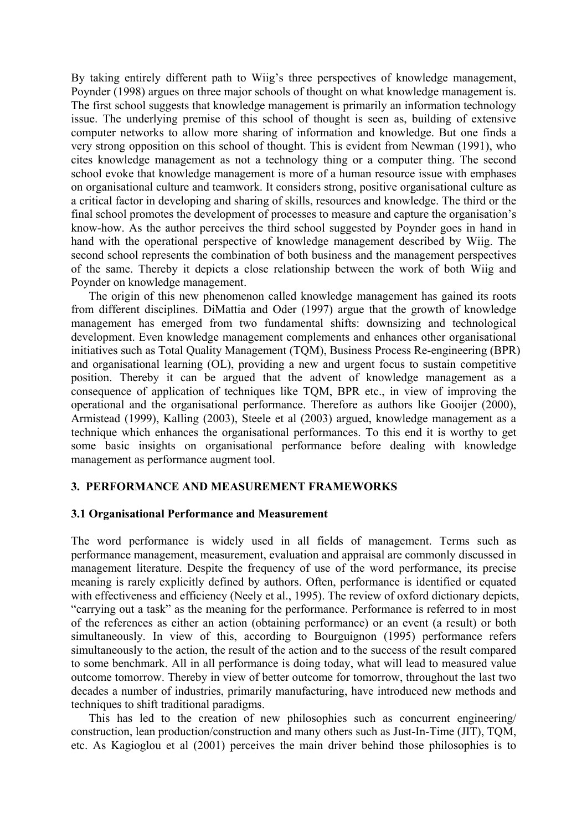By taking entirely different path to Wiig's three perspectives of knowledge management, Poynder (1998) argues on three major schools of thought on what knowledge management is. The first school suggests that knowledge management is primarily an information technology issue. The underlying premise of this school of thought is seen as, building of extensive computer networks to allow more sharing of information and knowledge. But one finds a very strong opposition on this school of thought. This is evident from Newman (1991), who cites knowledge management as not a technology thing or a computer thing. The second school evoke that knowledge management is more of a human resource issue with emphases on organisational culture and teamwork. It considers strong, positive organisational culture as a critical factor in developing and sharing of skills, resources and knowledge. The third or the final school promotes the development of processes to measure and capture the organisation's know-how. As the author perceives the third school suggested by Poynder goes in hand in hand with the operational perspective of knowledge management described by Wiig. The second school represents the combination of both business and the management perspectives of the same. Thereby it depicts a close relationship between the work of both Wiig and Poynder on knowledge management.

The origin of this new phenomenon called knowledge management has gained its roots from different disciplines. DiMattia and Oder (1997) argue that the growth of knowledge management has emerged from two fundamental shifts: downsizing and technological development. Even knowledge management complements and enhances other organisational initiatives such as Total Quality Management (TQM), Business Process Re-engineering (BPR) and organisational learning (OL), providing a new and urgent focus to sustain competitive position. Thereby it can be argued that the advent of knowledge management as a consequence of application of techniques like TQM, BPR etc., in view of improving the operational and the organisational performance. Therefore as authors like Gooijer (2000), Armistead (1999), Kalling (2003), Steele et al (2003) argued, knowledge management as a technique which enhances the organisational performances. To this end it is worthy to get some basic insights on organisational performance before dealing with knowledge management as performance augment tool.

#### **3. PERFORMANCE AND MEASUREMENT FRAMEWORKS**

#### **3.1 Organisational Performance and Measurement**

The word performance is widely used in all fields of management. Terms such as performance management, measurement, evaluation and appraisal are commonly discussed in management literature. Despite the frequency of use of the word performance, its precise meaning is rarely explicitly defined by authors. Often, performance is identified or equated with effectiveness and efficiency (Neely et al., 1995). The review of oxford dictionary depicts, "carrying out a task" as the meaning for the performance. Performance is referred to in most of the references as either an action (obtaining performance) or an event (a result) or both simultaneously. In view of this, according to Bourguignon (1995) performance refers simultaneously to the action, the result of the action and to the success of the result compared to some benchmark. All in all performance is doing today, what will lead to measured value outcome tomorrow. Thereby in view of better outcome for tomorrow, throughout the last two decades a number of industries, primarily manufacturing, have introduced new methods and techniques to shift traditional paradigms.

This has led to the creation of new philosophies such as concurrent engineering/ construction, lean production/construction and many others such as Just-In-Time (JIT), TQM, etc. As Kagioglou et al (2001) perceives the main driver behind those philosophies is to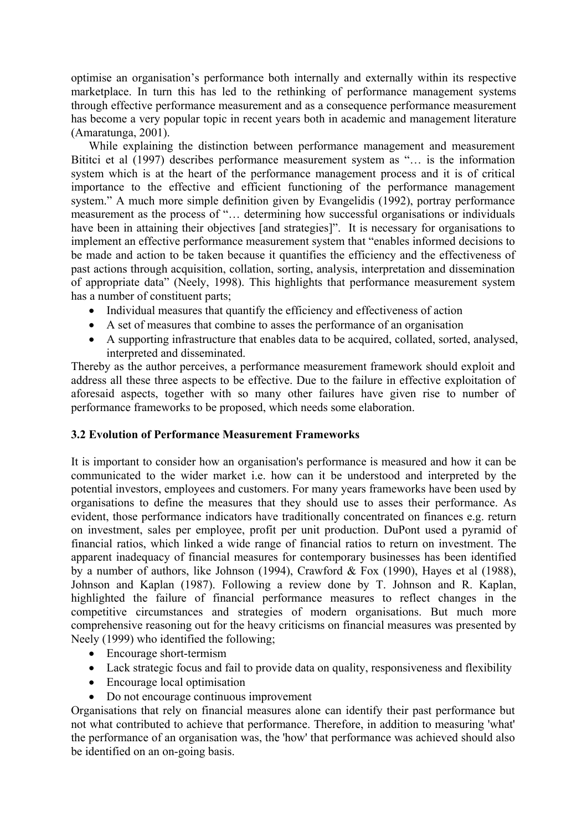optimise an organisation's performance both internally and externally within its respective marketplace. In turn this has led to the rethinking of performance management systems through effective performance measurement and as a consequence performance measurement has become a very popular topic in recent years both in academic and management literature (Amaratunga, 2001).

While explaining the distinction between performance management and measurement Bititci et al (1997) describes performance measurement system as "… is the information system which is at the heart of the performance management process and it is of critical importance to the effective and efficient functioning of the performance management system." A much more simple definition given by Evangelidis (1992), portray performance measurement as the process of "… determining how successful organisations or individuals have been in attaining their objectives [and strategies]". It is necessary for organisations to implement an effective performance measurement system that "enables informed decisions to be made and action to be taken because it quantifies the efficiency and the effectiveness of past actions through acquisition, collation, sorting, analysis, interpretation and dissemination of appropriate data" (Neely, 1998). This highlights that performance measurement system has a number of constituent parts;

- Individual measures that quantify the efficiency and effectiveness of action
- A set of measures that combine to asses the performance of an organisation
- A supporting infrastructure that enables data to be acquired, collated, sorted, analysed, interpreted and disseminated.

Thereby as the author perceives, a performance measurement framework should exploit and address all these three aspects to be effective. Due to the failure in effective exploitation of aforesaid aspects, together with so many other failures have given rise to number of performance frameworks to be proposed, which needs some elaboration.

# **3.2 Evolution of Performance Measurement Frameworks**

It is important to consider how an organisation's performance is measured and how it can be communicated to the wider market i.e. how can it be understood and interpreted by the potential investors, employees and customers. For many years frameworks have been used by organisations to define the measures that they should use to asses their performance. As evident, those performance indicators have traditionally concentrated on finances e.g. return on investment, sales per employee, profit per unit production. DuPont used a pyramid of financial ratios, which linked a wide range of financial ratios to return on investment. The apparent inadequacy of financial measures for contemporary businesses has been identified by a number of authors, like Johnson (1994), Crawford & Fox (1990), Hayes et al (1988), Johnson and Kaplan (1987). Following a review done by T. Johnson and R. Kaplan, highlighted the failure of financial performance measures to reflect changes in the competitive circumstances and strategies of modern organisations. But much more comprehensive reasoning out for the heavy criticisms on financial measures was presented by Neely (1999) who identified the following;

- Encourage short-termism
- Lack strategic focus and fail to provide data on quality, responsiveness and flexibility
- Encourage local optimisation
- Do not encourage continuous improvement

Organisations that rely on financial measures alone can identify their past performance but not what contributed to achieve that performance. Therefore, in addition to measuring 'what' the performance of an organisation was, the 'how' that performance was achieved should also be identified on an on-going basis.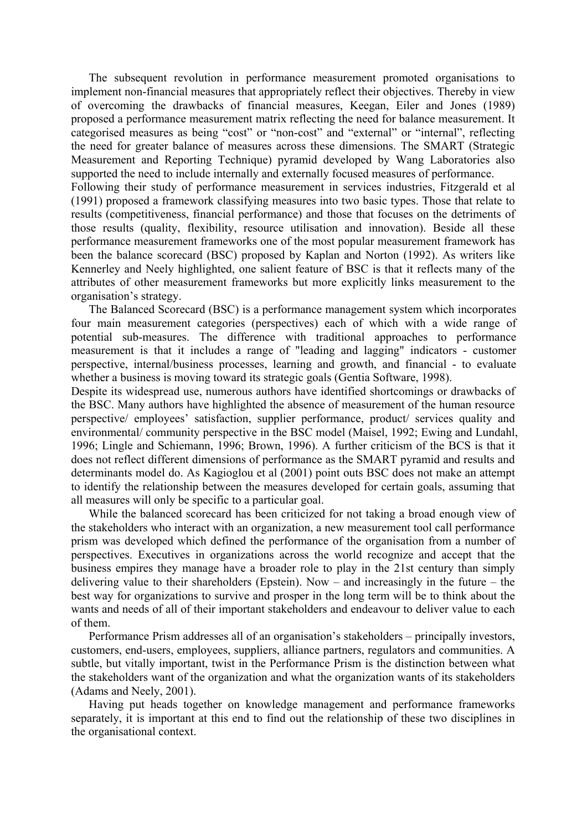The subsequent revolution in performance measurement promoted organisations to implement non-financial measures that appropriately reflect their objectives. Thereby in view of overcoming the drawbacks of financial measures, Keegan, Eiler and Jones (1989) proposed a performance measurement matrix reflecting the need for balance measurement. It categorised measures as being "cost" or "non-cost" and "external" or "internal", reflecting the need for greater balance of measures across these dimensions. The SMART (Strategic Measurement and Reporting Technique) pyramid developed by Wang Laboratories also supported the need to include internally and externally focused measures of performance.

Following their study of performance measurement in services industries, Fitzgerald et al (1991) proposed a framework classifying measures into two basic types. Those that relate to results (competitiveness, financial performance) and those that focuses on the detriments of those results (quality, flexibility, resource utilisation and innovation). Beside all these performance measurement frameworks one of the most popular measurement framework has been the balance scorecard (BSC) proposed by Kaplan and Norton (1992). As writers like Kennerley and Neely highlighted, one salient feature of BSC is that it reflects many of the attributes of other measurement frameworks but more explicitly links measurement to the organisation's strategy.

The Balanced Scorecard (BSC) is a performance management system which incorporates four main measurement categories (perspectives) each of which with a wide range of potential sub-measures. The difference with traditional approaches to performance measurement is that it includes a range of "leading and lagging" indicators - customer perspective, internal/business processes, learning and growth, and financial - to evaluate whether a business is moving toward its strategic goals (Gentia Software, 1998).

Despite its widespread use, numerous authors have identified shortcomings or drawbacks of the BSC. Many authors have highlighted the absence of measurement of the human resource perspective/ employees' satisfaction, supplier performance, product/ services quality and environmental/ community perspective in the BSC model (Maisel, 1992; Ewing and Lundahl, 1996; Lingle and Schiemann, 1996; Brown, 1996). A further criticism of the BCS is that it does not reflect different dimensions of performance as the SMART pyramid and results and determinants model do. As Kagioglou et al (2001) point outs BSC does not make an attempt to identify the relationship between the measures developed for certain goals, assuming that all measures will only be specific to a particular goal.

While the balanced scorecard has been criticized for not taking a broad enough view of the stakeholders who interact with an organization, a new measurement tool call performance prism was developed which defined the performance of the organisation from a number of perspectives. Executives in organizations across the world recognize and accept that the business empires they manage have a broader role to play in the 21st century than simply delivering value to their shareholders (Epstein). Now – and increasingly in the future – the best way for organizations to survive and prosper in the long term will be to think about the wants and needs of all of their important stakeholders and endeavour to deliver value to each of them.

Performance Prism addresses all of an organisation's stakeholders – principally investors, customers, end-users, employees, suppliers, alliance partners, regulators and communities. A subtle, but vitally important, twist in the Performance Prism is the distinction between what the stakeholders want of the organization and what the organization wants of its stakeholders (Adams and Neely, 2001).

Having put heads together on knowledge management and performance frameworks separately, it is important at this end to find out the relationship of these two disciplines in the organisational context.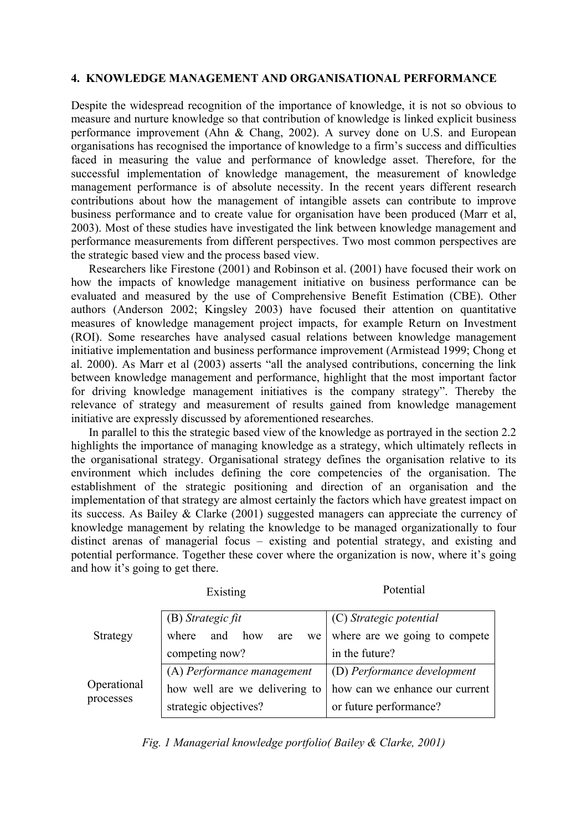# **4. KNOWLEDGE MANAGEMENT AND ORGANISATIONAL PERFORMANCE**

Despite the widespread recognition of the importance of knowledge, it is not so obvious to measure and nurture knowledge so that contribution of knowledge is linked explicit business performance improvement (Ahn & Chang, 2002). A survey done on U.S. and European organisations has recognised the importance of knowledge to a firm's success and difficulties faced in measuring the value and performance of knowledge asset. Therefore, for the successful implementation of knowledge management, the measurement of knowledge management performance is of absolute necessity. In the recent years different research contributions about how the management of intangible assets can contribute to improve business performance and to create value for organisation have been produced (Marr et al, 2003). Most of these studies have investigated the link between knowledge management and performance measurements from different perspectives. Two most common perspectives are the strategic based view and the process based view.

Researchers like Firestone (2001) and Robinson et al. (2001) have focused their work on how the impacts of knowledge management initiative on business performance can be evaluated and measured by the use of Comprehensive Benefit Estimation (CBE). Other authors (Anderson 2002; Kingsley 2003) have focused their attention on quantitative measures of knowledge management project impacts, for example Return on Investment (ROI). Some researches have analysed casual relations between knowledge management initiative implementation and business performance improvement (Armistead 1999; Chong et al. 2000). As Marr et al (2003) asserts "all the analysed contributions, concerning the link between knowledge management and performance, highlight that the most important factor for driving knowledge management initiatives is the company strategy". Thereby the relevance of strategy and measurement of results gained from knowledge management initiative are expressly discussed by aforementioned researches.

In parallel to this the strategic based view of the knowledge as portrayed in the section 2.2 highlights the importance of managing knowledge as a strategy, which ultimately reflects in the organisational strategy. Organisational strategy defines the organisation relative to its environment which includes defining the core competencies of the organisation. The establishment of the strategic positioning and direction of an organisation and the implementation of that strategy are almost certainly the factors which have greatest impact on its success. As Bailey & Clarke (2001) suggested managers can appreciate the currency of knowledge management by relating the knowledge to be managed organizationally to four distinct arenas of managerial focus – existing and potential strategy, and existing and potential performance. Together these cover where the organization is now, where it's going and how it's going to get there.

|                          | Existing                         | Potential                      |
|--------------------------|----------------------------------|--------------------------------|
| Strategy                 | (B) Strategic fit                | (C) Strategic potential        |
|                          | and<br>where<br>how<br>are<br>we | where are we going to compete  |
|                          | competing now?                   | in the future?                 |
| Operational<br>processes | (A) Performance management       | (D) Performance development    |
|                          | how well are we delivering to    | how can we enhance our current |
|                          | strategic objectives?            | or future performance?         |

*Fig. 1 Managerial knowledge portfolio( Bailey & Clarke, 2001)*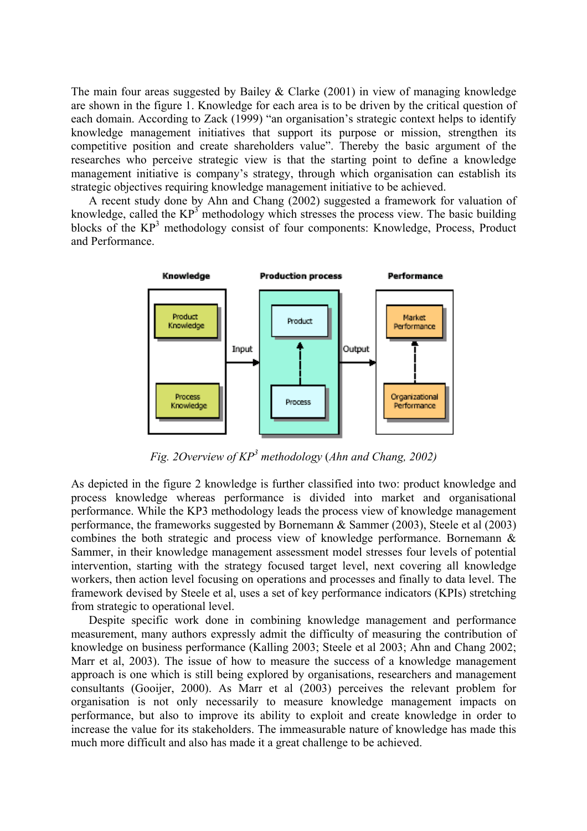The main four areas suggested by Bailey & Clarke (2001) in view of managing knowledge are shown in the figure 1. Knowledge for each area is to be driven by the critical question of each domain. According to Zack (1999) "an organisation's strategic context helps to identify knowledge management initiatives that support its purpose or mission, strengthen its competitive position and create shareholders value". Thereby the basic argument of the researches who perceive strategic view is that the starting point to define a knowledge management initiative is company's strategy, through which organisation can establish its strategic objectives requiring knowledge management initiative to be achieved.

A recent study done by Ahn and Chang (2002) suggested a framework for valuation of knowledge, called the  $KP^3$  methodology which stresses the process view. The basic building blocks of the KP<sup>3</sup> methodology consist of four components: Knowledge, Process, Product and Performance.



*Fig. 2Overview of KP3 methodology* (*Ahn and Chang, 2002)*

As depicted in the figure 2 knowledge is further classified into two: product knowledge and process knowledge whereas performance is divided into market and organisational performance. While the KP3 methodology leads the process view of knowledge management performance, the frameworks suggested by Bornemann & Sammer (2003), Steele et al (2003) combines the both strategic and process view of knowledge performance. Bornemann & Sammer, in their knowledge management assessment model stresses four levels of potential intervention, starting with the strategy focused target level, next covering all knowledge workers, then action level focusing on operations and processes and finally to data level. The framework devised by Steele et al, uses a set of key performance indicators (KPIs) stretching from strategic to operational level.

Despite specific work done in combining knowledge management and performance measurement, many authors expressly admit the difficulty of measuring the contribution of knowledge on business performance (Kalling 2003; Steele et al 2003; Ahn and Chang 2002; Marr et al, 2003). The issue of how to measure the success of a knowledge management approach is one which is still being explored by organisations, researchers and management consultants (Gooijer, 2000). As Marr et al (2003) perceives the relevant problem for organisation is not only necessarily to measure knowledge management impacts on performance, but also to improve its ability to exploit and create knowledge in order to increase the value for its stakeholders. The immeasurable nature of knowledge has made this much more difficult and also has made it a great challenge to be achieved.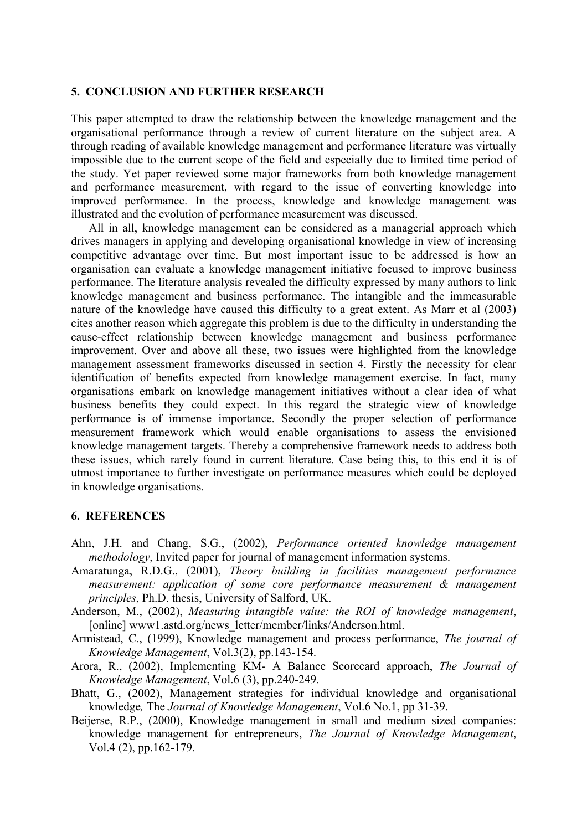#### **5. CONCLUSION AND FURTHER RESEARCH**

This paper attempted to draw the relationship between the knowledge management and the organisational performance through a review of current literature on the subject area. A through reading of available knowledge management and performance literature was virtually impossible due to the current scope of the field and especially due to limited time period of the study. Yet paper reviewed some major frameworks from both knowledge management and performance measurement, with regard to the issue of converting knowledge into improved performance. In the process, knowledge and knowledge management was illustrated and the evolution of performance measurement was discussed.

All in all, knowledge management can be considered as a managerial approach which drives managers in applying and developing organisational knowledge in view of increasing competitive advantage over time. But most important issue to be addressed is how an organisation can evaluate a knowledge management initiative focused to improve business performance. The literature analysis revealed the difficulty expressed by many authors to link knowledge management and business performance. The intangible and the immeasurable nature of the knowledge have caused this difficulty to a great extent. As Marr et al (2003) cites another reason which aggregate this problem is due to the difficulty in understanding the cause-effect relationship between knowledge management and business performance improvement. Over and above all these, two issues were highlighted from the knowledge management assessment frameworks discussed in section 4. Firstly the necessity for clear identification of benefits expected from knowledge management exercise. In fact, many organisations embark on knowledge management initiatives without a clear idea of what business benefits they could expect. In this regard the strategic view of knowledge performance is of immense importance. Secondly the proper selection of performance measurement framework which would enable organisations to assess the envisioned knowledge management targets. Thereby a comprehensive framework needs to address both these issues, which rarely found in current literature. Case being this, to this end it is of utmost importance to further investigate on performance measures which could be deployed in knowledge organisations.

#### **6. REFERENCES**

- Ahn, J.H. and Chang, S.G., (2002), *Performance oriented knowledge management methodology*, Invited paper for journal of management information systems.
- Amaratunga, R.D.G., (2001), *Theory building in facilities management performance measurement: application of some core performance measurement & management principles*, Ph.D. thesis, University of Salford, UK.
- Anderson, M., (2002), *Measuring intangible value: the ROI of knowledge management*, [online] www1.astd.org/news\_letter/member/links/Anderson.html.
- Armistead, C., (1999), Knowledge management and process performance, *The journal of Knowledge Management*, Vol.3(2), pp.143-154.
- Arora, R., (2002), Implementing KM- A Balance Scorecard approach, *The Journal of Knowledge Management*, Vol.6 (3), pp.240-249.
- Bhatt, G., (2002), Management strategies for individual knowledge and organisational knowledge*,* The *Journal of Knowledge Management*, Vol.6 No.1, pp 31-39.
- Beijerse, R.P., (2000), Knowledge management in small and medium sized companies: knowledge management for entrepreneurs, *The Journal of Knowledge Management*, Vol.4 (2), pp.162-179.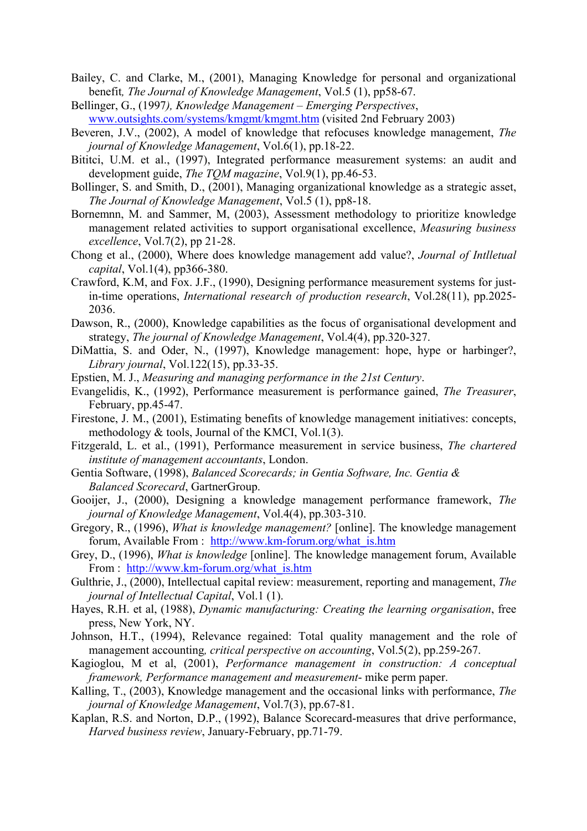- Bailey, C. and Clarke, M., (2001), Managing Knowledge for personal and organizational benefit*, The Journal of Knowledge Management*, Vol.5 (1), pp58-67.
- Bellinger, G., (1997*), Knowledge Management Emerging Perspectives*, [www.outsights.com/systems/kmgmt/kmgmt.htm](http://www.outsights.com/systems/kmgmt/kmgmt.htm) (visited 2nd February 2003)
- Beveren, J.V., (2002), A model of knowledge that refocuses knowledge management, *The journal of Knowledge Management*, Vol.6(1), pp.18-22.
- Bititci, U.M. et al., (1997), Integrated performance measurement systems: an audit and development guide, *The TQM magazine*, Vol.9(1), pp.46-53.
- Bollinger, S. and Smith, D., (2001), Managing organizational knowledge as a strategic asset, *The Journal of Knowledge Management*, Vol.5 (1), pp8-18.
- Bornemnn, M. and Sammer, M, (2003), Assessment methodology to prioritize knowledge management related activities to support organisational excellence, *Measuring business excellence*, Vol.7(2), pp 21-28.
- Chong et al., (2000), Where does knowledge management add value?, *Journal of Intlletual capital*, Vol.1(4), pp366-380.
- Crawford, K.M, and Fox. J.F., (1990), Designing performance measurement systems for justin-time operations, *International research of production research*, Vol.28(11), pp.2025- 2036.
- Dawson, R., (2000), Knowledge capabilities as the focus of organisational development and strategy, *The journal of Knowledge Management*, Vol.4(4), pp.320-327.
- DiMattia, S. and Oder, N., (1997), Knowledge management: hope, hype or harbinger?, *Library journal*, Vol.122(15), pp.33-35.
- Epstien, M. J., *Measuring and managing performance in the 21st Century*.
- Evangelidis, K., (1992), Performance measurement is performance gained, *The Treasurer*, February, pp.45-47.
- Firestone, J. M., (2001), Estimating benefits of knowledge management initiatives: concepts, methodology & tools, Journal of the KMCI, Vol.1(3).
- Fitzgerald, L. et al., (1991), Performance measurement in service business, *The chartered institute of management accountants*, London.
- Gentia Software, (1998), *Balanced Scorecards; in Gentia Software, Inc. Gentia & Balanced Scorecard*, GartnerGroup.
- Gooijer, J., (2000), Designing a knowledge management performance framework, *The journal of Knowledge Management*, Vol.4(4), pp.303-310.
- Gregory, R., (1996), *What is knowledge management?* [online]. The knowledge management forum, Available From : [http://www.km-forum.org/what\\_is.htm](http://www.km-forum.org/what_is.htm)
- Grey, D., (1996), *What is knowledge* [online]. The knowledge management forum, Available From : [http://www.km-forum.org/what\\_is.htm](http://www.km-forum.org/what_is.htm)
- Gulthrie, J., (2000), Intellectual capital review: measurement, reporting and management, *The journal of Intellectual Capital*, Vol.1 (1).
- Hayes, R.H. et al, (1988), *Dynamic manufacturing: Creating the learning organisation*, free press, New York, NY.
- Johnson, H.T., (1994), Relevance regained: Total quality management and the role of management accounting*, critical perspective on accounting*, Vol.5(2), pp.259-267.
- Kagioglou, M et al, (2001), *Performance management in construction: A conceptual framework, Performance management and measurement*- mike perm paper.
- Kalling, T., (2003), Knowledge management and the occasional links with performance, *The journal of Knowledge Management*, Vol.7(3), pp.67-81.
- Kaplan, R.S. and Norton, D.P., (1992), Balance Scorecard-measures that drive performance, *Harved business review*, January-February, pp.71-79.